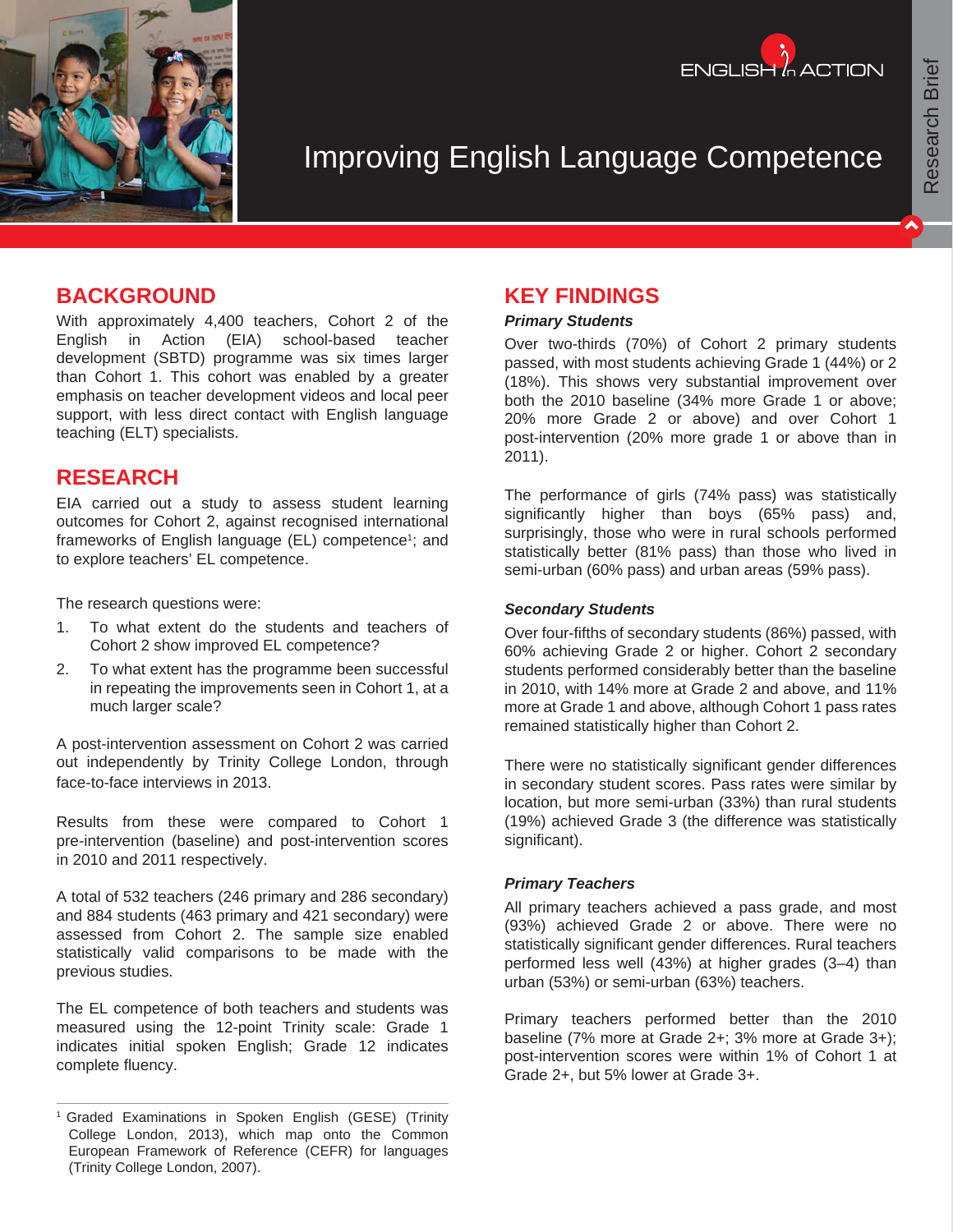



# Improving English Language Competence

## **BACKGROUND**

With approximately 4,400 teachers, Cohort 2 of the English in Action (EIA) school-based teacher development (SBTD) programme was six times larger than Cohort 1. This cohort was enabled by a greater emphasis on teacher development videos and local peer support, with less direct contact with English language teaching (ELT) specialists.

## **RESEARCH**

EIA carried out a study to assess student learning outcomes for Cohort 2, against recognised international frameworks of English language (EL) competence<sup>1</sup>; and to explore teachers' EL competence.

The research questions were:

- 1. To what extent do the students and teachers of Cohort 2 show improved EL competence?
- 2. To what extent has the programme been successful in repeating the improvements seen in Cohort 1, at a much larger scale?

A post-intervention assessment on Cohort 2 was carried out independently by Trinity College London, through face-to-face interviews in 2013.

Results from these were compared to Cohort 1 pre-intervention (baseline) and post-intervention scores in 2010 and 2011 respectively.

A total of 532 teachers (246 primary and 286 secondary) and 884 students (463 primary and 421 secondary) were assessed from Cohort 2. The sample size enabled statistically valid comparisons to be made with the previous studies.

The EL competence of both teachers and students was measured using the 12-point Trinity scale: Grade 1 indicates initial spoken English; Grade 12 indicates complete fluency.

## **KEY FINDINGS**

#### *Primary Students*

Over two-thirds (70%) of Cohort 2 primary students passed, with most students achieving Grade 1 (44%) or 2 (18%). This shows very substantial improvement over both the 2010 baseline (34% more Grade 1 or above; 20% more Grade 2 or above) and over Cohort 1 post-intervention (20% more grade 1 or above than in 2011).

The performance of girls (74% pass) was statistically significantly higher than boys (65% pass) and, surprisingly, those who were in rural schools performed statistically better (81% pass) than those who lived in semi-urban (60% pass) and urban areas (59% pass).

#### *Secondary Students*

Over four-fifths of secondary students (86%) passed, with 60% achieving Grade 2 or higher. Cohort 2 secondary students performed considerably better than the baseline in 2010, with 14% more at Grade 2 and above, and 11% more at Grade 1 and above, although Cohort 1 pass rates remained statistically higher than Cohort 2.

There were no statistically significant gender differences in secondary student scores. Pass rates were similar by location, but more semi-urban (33%) than rural students (19%) achieved Grade 3 (the difference was statistically significant).

#### *Primary Teachers*

All primary teachers achieved a pass grade, and most (93%) achieved Grade 2 or above. There were no statistically significant gender differences. Rural teachers performed less well (43%) at higher grades (3–4) than urban (53%) or semi-urban (63%) teachers.

Primary teachers performed better than the 2010 baseline (7% more at Grade 2+; 3% more at Grade 3+); post-intervention scores were within 1% of Cohort 1 at Grade 2+, but 5% lower at Grade 3+.

<sup>1</sup> Graded Examinations in Spoken English (GESE) (Trinity College London, 2013), which map onto the Common European Framework of Reference (CEFR) for languages (Trinity College London, 2007).